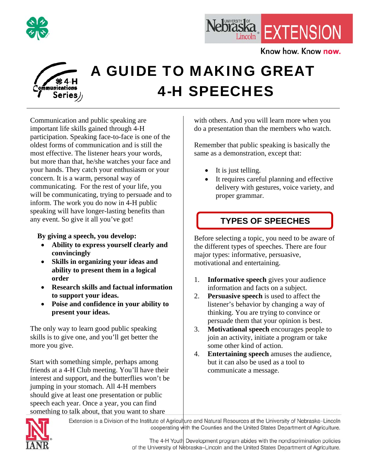



Know how. Know now.



# A GUIDE TO MAKING GREAT 4-H SPEECHES

Communication and public speaking are important life skills gained through 4-H participation. Speaking face-to-face is one of the oldest forms of communication and is still the most effective. The listener hears your words, but more than that, he/she watches your face and your hands. They catch your enthusiasm or your concern. It is a warm, personal way of communicating. For the rest of your life, you will be communicating, trying to persuade and to inform. The work you do now in 4-H public speaking will have longer-lasting benefits than any event. So give it all you've got!

 **By giving a speech, you develop:** 

- **Ability to express yourself clearly and convincingly**
- **Skills in organizing your ideas and ability to present them in a logical order**
- **Research skills and factual information to support your ideas.**
- **Poise and confidence in your ability to present your ideas.**

The only way to learn good public speaking skills is to give one, and you'll get better the more you give.

Start with something simple, perhaps among friends at a 4-H Club meeting. You'll have their interest and support, and the butterflies won't be jumping in your stomach. All 4-H members should give at least one presentation or public speech each year. Once a year, you can find something to talk about, that you want to share

with others. And you will learn more when you do a presentation than the members who watch.

Remember that public speaking is basically the same as a demonstration, except that:

- It is just telling.
- It requires careful planning and effective delivery with gestures, voice variety, and proper grammar.

### **TYPES OF SPEECHES**

Before selecting a topic, you need to be aware of the different types of speeches. There are four major types: informative, persuasive, motivational and entertaining.

- 1. **Informative speech** gives your audience information and facts on a subject.
- 2. **Persuasive speech** is used to affect the listener's behavior by changing a way of thinking. You are trying to convince or persuade them that your opinion is best.
- 3. **Motivational speech** encourages people to join an activity, initiate a program or take some other kind of action.
- 4. **Entertaining speech** amuses the audience, but it can also be used as a tool to communicate a message.



Extension is a Division of the Institute of Agriculture and Natural Resources at the University of Nebraska-Lincoln cooperating with the Counties and the United States Department of Agriculture.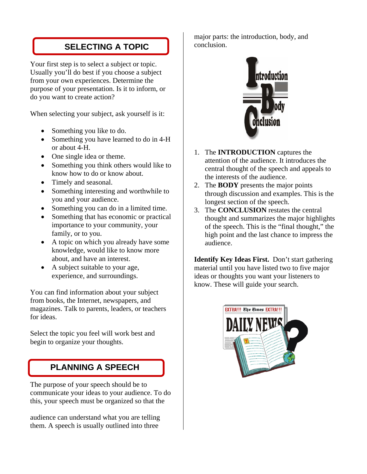### **SELECTING A TOPIC**

Your first step is to select a subject or topic. Usually you'll do best if you choose a subject from your own experiences. Determine the purpose of your presentation. Is it to inform, or do you want to create action?

When selecting your subject, ask yourself is it:

- Something you like to do.
- Something you have learned to do in 4-H or about 4-H.
- One single idea or theme.
- Something you think others would like to know how to do or know about.
- Timely and seasonal.
- Something interesting and worthwhile to you and your audience.
- Something you can do in a limited time.
- Something that has economic or practical importance to your community, your family, or to you.
- A topic on which you already have some knowledge, would like to know more about, and have an interest.
- A subject suitable to your age, experience, and surroundings.

You can find information about your subject from books, the Internet, newspapers, and magazines. Talk to parents, leaders, or teachers for ideas.

Select the topic you feel will work best and begin to organize your thoughts.

### **PLANNING A SPEECH**

The purpose of your speech should be to communicate your ideas to your audience. To do this, your speech must be organized so that the

audience can understand what you are telling them. A speech is usually outlined into three

major parts: the introduction, body, and conclusion.



- 1. The **INTRODUCTION** captures the attention of the audience. It introduces the central thought of the speech and appeals to the interests of the audience.
- 2. The **BODY** presents the major points through discussion and examples. This is the longest section of the speech.
- 3. The **CONCLUSION** restates the central thought and summarizes the major highlights of the speech. This is the "final thought," the high point and the last chance to impress the audience.

**Identify Key Ideas First.** Don't start gathering material until you have listed two to five major ideas or thoughts you want your listeners to know. These will guide your search.

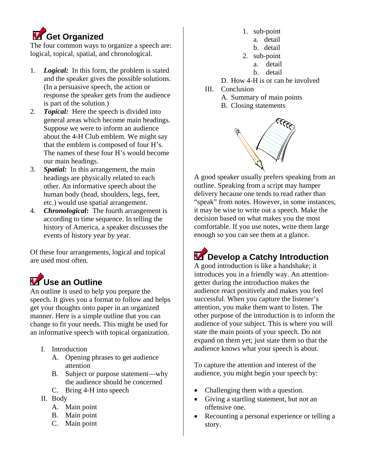# **Get Organized**

The four common ways to organize a speech are: logical, topical, spatial, and chronological.

- 1. *Logical:* In this form, the problem is stated and the speaker gives the possible solutions. (In a persuasive speech, the action or response the speaker gets from the audience is part of the solution.)
- 2. *Topical:* Here the speech is divided into general areas which become main headings. Suppose we were to inform an audience about the 4-H Club emblem. We might say that the emblem is composed of four H's. The names of these four H's would become our main headings.
- 3. *Spatial:* In this arrangement, the main headings are physically related to each other. An informative speech about the human body (head, shoulders, legs, feet, etc.) would use spatial arrangement.
- 4. *Chronological***:** The fourth arrangement is according to time sequence. In telling the history of America, a speaker discusses the events of history year by year.

Of these four arrangements, logical and topical are used most often.

# **V** Use an Outline

An outline is used to help you prepare the speech. It gives you a format to follow and helps get your thoughts onto paper in an organized manner. Here is a simple outline that you can change to fit your needs. This might be used for an informative speech with topical organization.

- I. Introduction
	- A. Opening phrases to get audience attention
	- B. Subject or purpose statement—why the audience should be concerned
	- C. Bring 4-H into speech
- II. Body
	- A. Main point
	- B. Main point
	- C. Main point
- 1. sub-point
- a. detail
- b. detail
- 2. sub-point
	- a. detail
		- b. detail
- D. How 4-H is or can be involved
- III. Conclusion
	- A. Summary of main points
	- B. Closing statements



A good speaker usually prefers speaking from an outline. Speaking from a script may hamper delivery because one tends to read rather than "speak" from notes. However, in some instances, it may be wise to write out a speech. Make the decision based on what makes you the most comfortable. If you use notes, write them large enough so you can see them at a glance.

# **Z** Develop a Catchy Introduction

A good introduction is like a handshake; it introduces you in a friendly way. An attentiongetter during the introduction makes the audience react positively and makes you feel successful. When you capture the listener's attention, you make them want to listen. The other purpose of the introduction is to inform the audience of your subject. This is where you will state the main points of your speech. Do not expand on them yet; just state them so that the audience knows what your speech is about.

To capture the attention and interest of the audience, you might begin your speech by:

- Challenging them with a question.
- Giving a startling statement, but not an offensive one.
- Recounting a personal experience or telling a story.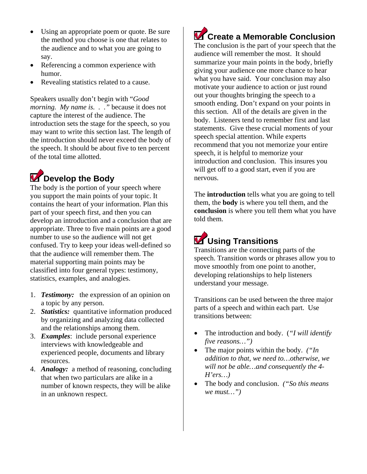- Using an appropriate poem or quote. Be sure the method you choose is one that relates to the audience and to what you are going to say.
- Referencing a common experience with humor.
- Revealing statistics related to a cause.

Speakers usually don't begin with "*Good morning. My name is. . ."* because it does not capture the interest of the audience. The introduction sets the stage for the speech, so you may want to write this section last. The length of the introduction should never exceed the body of the speech. It should be about five to ten percent of the total time allotted.

## **Develop the Body**

The body is the portion of your speech where you support the main points of your topic. It contains the heart of your information. Plan this part of your speech first, and then you can develop an introduction and a conclusion that are appropriate. Three to five main points are a good number to use so the audience will not get confused. Try to keep your ideas well-defined so that the audience will remember them. The material supporting main points may be classified into four general types: testimony, statistics, examples, and analogies.

- 1. *Testimony:* the expression of an opinion on a topic by any person.
- 2. *Statistics:* quantitative information produced by organizing and analyzing data collected and the relationships among them.
- 3. *Examples*: include personal experience interviews with knowledgeable and experienced people, documents and library resources.
- 4. *Analogy:* a method of reasoning, concluding that when two particulars are alike in a number of known respects, they will be alike in an unknown respect.

### **Create a Memorable Conclusion**

The conclusion is the part of your speech that the audience will remember the most. It should summarize your main points in the body, briefly giving your audience one more chance to hear what you have said. Your conclusion may also motivate your audience to action or just round out your thoughts bringing the speech to a smooth ending. Don't expand on your points in this section. All of the details are given in the body. Listeners tend to remember first and last statements. Give these crucial moments of your speech special attention. While experts recommend that you not memorize your entire speech, it is helpful to memorize your introduction and conclusion. This insures you will get off to a good start, even if you are nervous.

The **introduction** tells what you are going to tell them, the **body** is where you tell them, and the **conclusion** is where you tell them what you have told them.

### **Using Transitions**

Transitions are the connecting parts of the speech. Transition words or phrases allow you to move smoothly from one point to another, developing relationships to help listeners understand your message.

Transitions can be used between the three major parts of a speech and within each part. Use transitions between:

- The introduction and body. (*"I will identify five reasons…")*
- The major points within the body. *("In addition to that, we need to…otherwise, we will not be able…and consequently the 4- H'ers…)*
- The body and conclusion. *("So this means we must…")*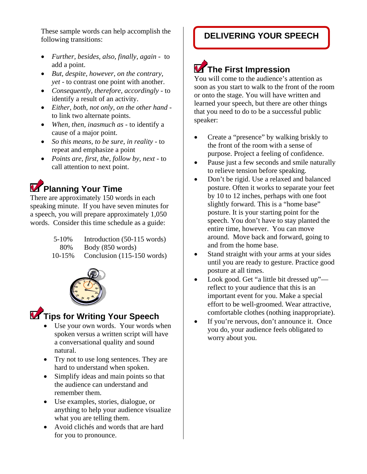These sample words can help accomplish the **DELIVERING YOUR SPEECH Collection** following transitions:

- *Further, besides, also, finally, again* to add a point.
- *But, despite, however, on the contrary, yet* - to contrast one point with another.
- *Consequently, therefore, accordingly*  to identify a result of an activity.
- *Either, both, not only, on the other hand*  to link two alternate points.
- *When, then, inasmuch as*  to identify a cause of a major point.
- *So this means, to be sure, in reality*  to repeat and emphasize a point
- *Points are, first, the, follow by, next*  to call attention to next point.

### **Planning Your Time**

There are approximately 150 words in each speaking minute. If you have seven minutes for a speech, you will prepare approximately 1,050 words. Consider this time schedule as a guide:

| 5-10%  | Introduction (50-115 words) |
|--------|-----------------------------|
| 80%    | Body (850 words)            |
| 10-15% | Conclusion (115-150 words)  |



### **Tips for Writing Your Speech**

- Use your own words. Your words when spoken versus a written script will have a conversational quality and sound natural.
- Try not to use long sentences. They are hard to understand when spoken.
- Simplify ideas and main points so that the audience can understand and remember them.
- Use examples, stories, dialogue, or anything to help your audience visualize what you are telling them.
- Avoid clichés and words that are hard for you to pronounce.

# **The First Impression**

You will come to the audience's attention as soon as you start to walk to the front of the room or onto the stage. You will have written and learned your speech, but there are other things that you need to do to be a successful public speaker:

- Create a "presence" by walking briskly to the front of the room with a sense of purpose. Project a feeling of confidence.
- Pause just a few seconds and smile naturally to relieve tension before speaking.
- Don't be rigid. Use a relaxed and balanced posture. Often it works to separate your feet by 10 to 12 inches, perhaps with one foot slightly forward. This is a "home base" posture. It is your starting point for the speech. You don't have to stay planted the entire time, however. You can move around. Move back and forward, going to and from the home base.
- Stand straight with your arms at your sides until you are ready to gesture. Practice good posture at all times.
- Look good. Get "a little bit dressed up" reflect to your audience that this is an important event for you. Make a special effort to be well-groomed. Wear attractive, comfortable clothes (nothing inappropriate).
- If you're nervous, don't announce it. Once you do, your audience feels obligated to worry about you.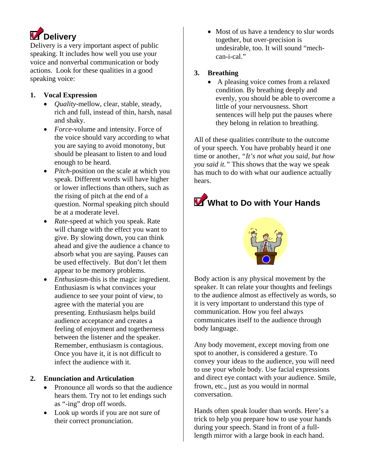

Delivery is a very important aspect of public speaking. It includes how well you use your voice and nonverbal communication or body actions. Look for these qualities in a good speaking voice:

#### **1. Vocal Expression**

- *Quality*-mellow, clear, stable, steady, rich and full, instead of thin, harsh, nasal and shaky.
- *Force*-volume and intensity. Force of the voice should vary according to what you are saying to avoid monotony, but should be pleasant to listen to and loud enough to be heard.
- *Pitch*-position on the scale at which you speak. Different words will have higher or lower inflections than others, such as the rising of pitch at the end of a question. Normal speaking pitch should be at a moderate level.
- *Rate*-speed at which you speak. Rate will change with the effect you want to give. By slowing down, you can think ahead and give the audience a chance to absorb what you are saying. Pauses can be used effectively. But don't let them appear to be memory problems.
- *Enthusiasm-*this is the magic ingredient. Enthusiasm is what convinces your audience to see your point of view, to agree with the material you are presenting. Enthusiasm helps build audience acceptance and creates a feeling of enjoyment and togetherness between the listener and the speaker. Remember, enthusiasm is contagious. Once you have it, it is not difficult to infect the audience with it.

#### **2. Enunciation and Articulation**

- Pronounce all words so that the audience hears them. Try not to let endings such as "-ing" drop off words.
- Look up words if you are not sure of their correct pronunciation.

• Most of us have a tendency to slur words together, but over-precision is undesirable, too. It will sound "mechcan-i-cal."

#### **3. Breathing**

• A pleasing voice comes from a relaxed condition. By breathing deeply and evenly, you should be able to overcome a little of your nervousness. Short sentences will help put the pauses where they belong in relation to breathing.

All of these qualities contribute to the outcome of your speech. You have probably heard it one time or another, *"It's not what you said, but how you said it."* This shows that the way we speak has much to do with what our audience actually hears.

### What to Do with Your Hands



Body action is any physical movement by the speaker. It can relate your thoughts and feelings to the audience almost as effectively as words, so it is very important to understand this type of communication. How you feel always communicates itself to the audience through body language.

Any body movement, except moving from one spot to another, is considered a gesture. To convey your ideas to the audience, you will need to use your whole body. Use facial expressions and direct eye contact with your audience. Smile, frown, etc., just as you would in normal conversation.

Hands often speak louder than words. Here's a trick to help you prepare how to use your hands during your speech. Stand in front of a fulllength mirror with a large book in each hand.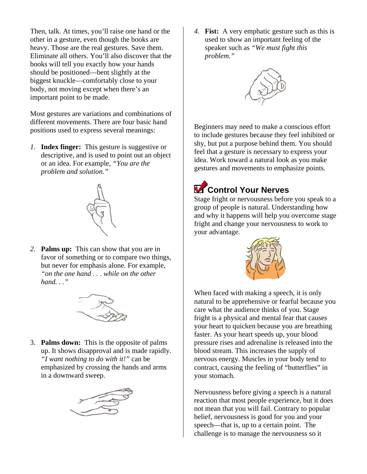Then, talk. At times, you'll raise one hand or the other in a gesture, even though the books are heavy. Those are the real gestures. Save them. Eliminate all others. You'll also discover that the books will tell you exactly how your hands should be positioned—bent slightly at the biggest knuckle—comfortably close to your body, not moving except when there's an important point to be made.

Most gestures are variations and combinations of different movements. There are four basic hand positions used to express several meanings:

*1.* **Index finger:** This gesture is suggestive or descriptive, and is used to point out an object or an idea. For example, *"You are the problem and solution."* 



*2.* **Palms up:** This can show that you are in favor of something or to compare two things, but never for emphasis alone. For example, *"on the one hand . . . while on the other hand. . ."* 



3. **Palms down:** This is the opposite of palms up. It shows disapproval and is made rapidly. *"I want nothing to do with it!"* can be emphasized by crossing the hands and arms in a downward sweep.



*4.* **Fist:** A very emphatic gesture such as this is used to show an important feeling of the speaker such as *"We must fight this problem."* 



Beginners may need to make a conscious effort to include gestures because they feel inhibited or shy, but put a purpose behind them. You should feel that a gesture is necessary to express your idea. Work toward a natural look as you make gestures and movements to emphasize points.

## **Control Your Nerves**

Stage fright or nervousness before you speak to a group of people is natural. Understanding how and why it happens will help you overcome stage fright and change your nervousness to work to your advantage.



When faced with making a speech, it is only natural to be apprehensive or fearful because you care what the audience thinks of you. Stage fright is a physical and mental fear that causes your heart to quicken because you are breathing faster. As your heart speeds up, your blood pressure rises and adrenaline is released into the blood stream. This increases the supply of nervous energy. Muscles in your body tend to contract, causing the feeling of "butterflies" in your stomach.

Nervousness before giving a speech is a natural reaction that most people experience, but it does not mean that you will fail. Contrary to popular belief, nervousness is good for you and your speech—that is, up to a certain point. The challenge is to manage the nervousness so it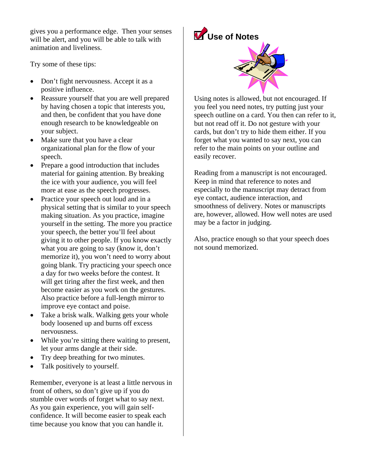gives you a performance edge. Then your senses will be alert, and you will be able to talk with animation and liveliness.

Try some of these tips:

- Don't fight nervousness. Accept it as a positive influence.
- Reassure yourself that you are well prepared by having chosen a topic that interests you, and then, be confident that you have done enough research to be knowledgeable on your subject.
- Make sure that you have a clear organizational plan for the flow of your speech.
- Prepare a good introduction that includes material for gaining attention. By breaking the ice with your audience, you will feel more at ease as the speech progresses.
- Practice your speech out loud and in a physical setting that is similar to your speech making situation. As you practice, imagine yourself in the setting. The more you practice your speech, the better you'll feel about giving it to other people. If you know exactly what you are going to say (know it, don't memorize it), you won't need to worry about going blank. Try practicing your speech once a day for two weeks before the contest. It will get tiring after the first week, and then become easier as you work on the gestures. Also practice before a full-length mirror to improve eye contact and poise.
- Take a brisk walk. Walking gets your whole body loosened up and burns off excess nervousness.
- While you're sitting there waiting to present, let your arms dangle at their side.
- Try deep breathing for two minutes.
- Talk positively to yourself.

Remember, everyone is at least a little nervous in front of others, so don't give up if you do stumble over words of forget what to say next. As you gain experience, you will gain selfconfidence. It will become easier to speak each time because you know that you can handle it.

# **Use of Notes**



Using notes is allowed, but not encouraged. If you feel you need notes, try putting just your speech outline on a card. You then can refer to it, but not read off it. Do not gesture with your cards, but don't try to hide them either. If you forget what you wanted to say next, you can refer to the main points on your outline and easily recover.

Reading from a manuscript is not encouraged. Keep in mind that reference to notes and especially to the manuscript may detract from eye contact, audience interaction, and smoothness of delivery. Notes or manuscripts are, however, allowed. How well notes are used may be a factor in judging.

Also, practice enough so that your speech does not sound memorized.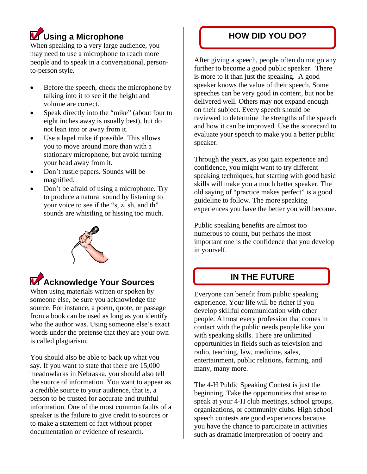## **Using a Microphone HOW DID YOU DO?**

When speaking to a very large audience, you may need to use a microphone to reach more people and to speak in a conversational, personto-person style.

- Before the speech, check the microphone by talking into it to see if the height and volume are correct.
- Speak directly into the "mike" (about four to eight inches away is usually best), but do not lean into or away from it.
- Use a lapel mike if possible. This allows you to move around more than with a stationary microphone, but avoid turning your head away from it.
- Don't rustle papers. Sounds will be magnified.
- Don't be afraid of using a microphone. Try to produce a natural sound by listening to your voice to see if the "s, z, sh, and th" sounds are whistling or hissing too much.



### **Acknowledge Your Sources**

When using materials written or spoken by someone else, be sure you acknowledge the source. For instance, a poem, quote, or passage from a book can be used as long as you identify who the author was. Using someone else's exact words under the pretense that they are your own is called plagiarism.

You should also be able to back up what you say. If you want to state that there are 15,000 meadowlarks in Nebraska, you should also tell the source of information. You want to appear as a credible source to your audience, that is, a person to be trusted for accurate and truthful information. One of the most common faults of a speaker is the failure to give credit to sources or to make a statement of fact without proper documentation or evidence of research.

After giving a speech, people often do not go any further to become a good public speaker. There is more to it than just the speaking. A good speaker knows the value of their speech. Some speeches can be very good in content, but not be delivered well. Others may not expand enough on their subject. Every speech should be reviewed to determine the strengths of the speech and how it can be improved. Use the scorecard to evaluate your speech to make you a better public speaker.

Through the years, as you gain experience and confidence, you might want to try different speaking techniques, but starting with good basic skills will make you a much better speaker. The old saying of "practice makes perfect" is a good guideline to follow. The more speaking experiences you have the better you will become.

Public speaking benefits are almost too numerous to count, but perhaps the most important one is the confidence that you develop in yourself.

#### **IN THE FUTURE**

Everyone can benefit from public speaking experience. Your life will be richer if you develop skillful communication with other people. Almost every profession that comes in contact with the public needs people like you with speaking skills. There are unlimited opportunities in fields such as television and radio, teaching, law, medicine, sales, entertainment, public relations, farming, and many, many more.

The 4-H Public Speaking Contest is just the beginning. Take the opportunities that arise to speak at your 4-H club meetings, school groups, organizations, or community clubs. High school speech contests are good experiences because you have the chance to participate in activities such as dramatic interpretation of poetry and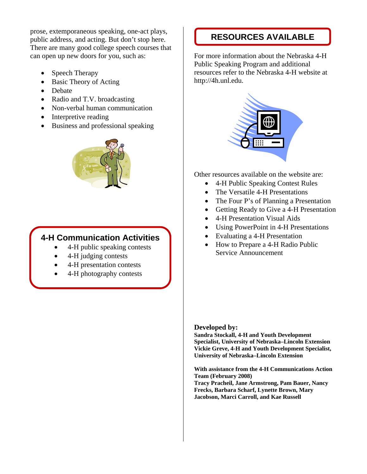prose, extemporaneous speaking, one-act plays,<br>
public address, and acting. But don't stop here. **RESOURCES AVAILABLE** There are many good college speech courses that can open up new doors for you, such as:

- Speech Therapy
- Basic Theory of Acting
- Debate
- Radio and T.V. broadcasting
- Non-verbal human communication
- Interpretive reading
- Business and professional speaking



#### **4-H Communication Activities**

- 4-H public speaking contests
- 4-H judging contests
- 4-H presentation contests
- 4-H photography contests

For more information about the Nebraska 4-H Public Speaking Program and additional resources refer to the Nebraska 4-H website at http://4h.unl.edu.



Other resources available on the website are:

- 4-H Public Speaking Contest Rules
- The Versatile 4-H Presentations
- The Four P's of Planning a Presentation
- Getting Ready to Give a 4-H Presentation
- 4-H Presentation Visual Aids
- Using PowerPoint in 4-H Presentations
- Evaluating a 4-H Presentation
- How to Prepare a 4-H Radio Public Service Announcement

#### **Developed by:**

**Sandra Stockall, 4-H and Youth Development Specialist, University of Nebraska–Lincoln Extension Vickie Greve, 4-H and Youth Development Specialist, University of Nebraska–Lincoln Extension** 

**With assistance from the 4-H Communications Action Team (February 2008)** 

**Tracy Pracheil, Jane Armstrong, Pam Bauer, Nancy Frecks, Barbara Scharf, Lynette Brown, Mary Jacobson, Marci Carroll, and Kae Russell**